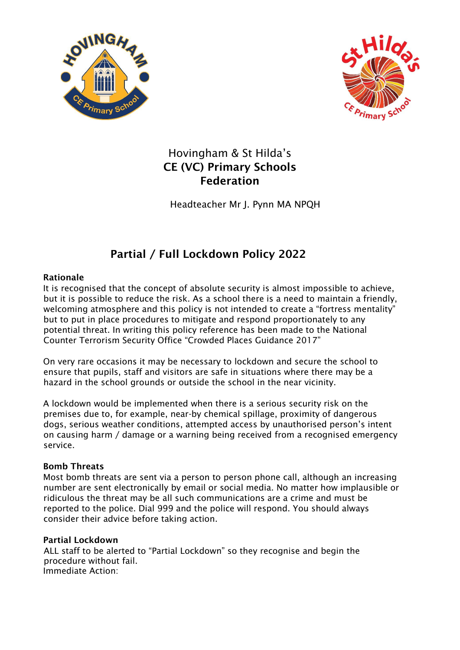



# Hovingham & St Hilda's CE (VC) Primary Schools Federation

Headteacher Mr J. Pynn MA NPQH

# Partial / Full Lockdown Policy 2022

### Rationale

It is recognised that the concept of absolute security is almost impossible to achieve, but it is possible to reduce the risk. As a school there is a need to maintain a friendly, welcoming atmosphere and this policy is not intended to create a "fortress mentality" but to put in place procedures to mitigate and respond proportionately to any potential threat. In writing this policy reference has been made to the National Counter Terrorism Security Office "Crowded Places Guidance 2017"

On very rare occasions it may be necessary to lockdown and secure the school to ensure that pupils, staff and visitors are safe in situations where there may be a hazard in the school grounds or outside the school in the near vicinity.

A lockdown would be implemented when there is a serious security risk on the premises due to, for example, near-by chemical spillage, proximity of dangerous dogs, serious weather conditions, attempted access by unauthorised person's intent on causing harm / damage or a warning being received from a recognised emergency service.

## Bomb Threats

Most bomb threats are sent via a person to person phone call, although an increasing number are sent electronically by email or social media. No matter how implausible or ridiculous the threat may be all such communications are a crime and must be reported to the police. Dial 999 and the police will respond. You should always consider their advice before taking action.

#### Partial Lockdown

ALL staff to be alerted to "Partial Lockdown" so they recognise and begin the procedure without fail. Immediate Action: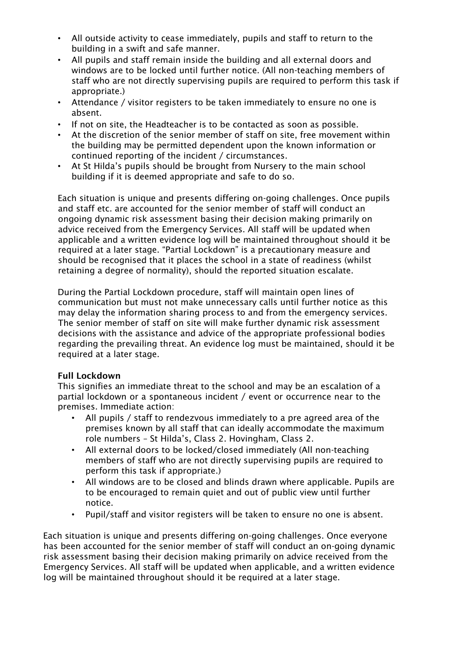- All outside activity to cease immediately, pupils and staff to return to the building in a swift and safe manner.
- All pupils and staff remain inside the building and all external doors and windows are to be locked until further notice. (All non-teaching members of staff who are not directly supervising pupils are required to perform this task if appropriate.)
- Attendance / visitor registers to be taken immediately to ensure no one is absent.
- If not on site, the Headteacher is to be contacted as soon as possible.
- At the discretion of the senior member of staff on site, free movement within the building may be permitted dependent upon the known information or continued reporting of the incident / circumstances.
- At St Hilda's pupils should be brought from Nursery to the main school building if it is deemed appropriate and safe to do so.

Each situation is unique and presents differing on-going challenges. Once pupils and staff etc. are accounted for the senior member of staff will conduct an ongoing dynamic risk assessment basing their decision making primarily on advice received from the Emergency Services. All staff will be updated when applicable and a written evidence log will be maintained throughout should it be required at a later stage. "Partial Lockdown" is a precautionary measure and should be recognised that it places the school in a state of readiness (whilst retaining a degree of normality), should the reported situation escalate.

During the Partial Lockdown procedure, staff will maintain open lines of communication but must not make unnecessary calls until further notice as this may delay the information sharing process to and from the emergency services. The senior member of staff on site will make further dynamic risk assessment decisions with the assistance and advice of the appropriate professional bodies regarding the prevailing threat. An evidence log must be maintained, should it be required at a later stage.

#### Full Lockdown

This signifies an immediate threat to the school and may be an escalation of a partial lockdown or a spontaneous incident / event or occurrence near to the premises. Immediate action:

- All pupils / staff to rendezvous immediately to a pre agreed area of the premises known by all staff that can ideally accommodate the maximum role numbers – St Hilda's, Class 2. Hovingham, Class 2.
- All external doors to be locked/closed immediately (All non-teaching members of staff who are not directly supervising pupils are required to perform this task if appropriate.)
- All windows are to be closed and blinds drawn where applicable. Pupils are to be encouraged to remain quiet and out of public view until further notice.
- Pupil/staff and visitor registers will be taken to ensure no one is absent.

Each situation is unique and presents differing on-going challenges. Once everyone has been accounted for the senior member of staff will conduct an on-going dynamic risk assessment basing their decision making primarily on advice received from the Emergency Services. All staff will be updated when applicable, and a written evidence log will be maintained throughout should it be required at a later stage.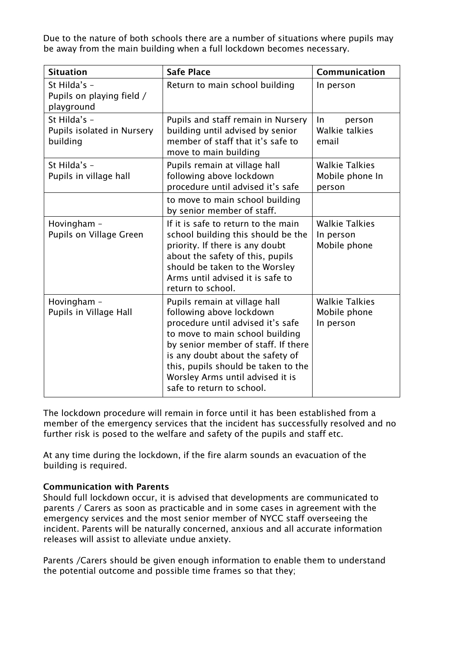Due to the nature of both schools there are a number of situations where pupils may be away from the main building when a full lockdown becomes necessary.

| <b>Situation</b>                                        | <b>Safe Place</b>                                                                                                                                                                                                                                                                                                    | Communication                                      |
|---------------------------------------------------------|----------------------------------------------------------------------------------------------------------------------------------------------------------------------------------------------------------------------------------------------------------------------------------------------------------------------|----------------------------------------------------|
| St Hilda's -<br>Pupils on playing field /<br>playground | Return to main school building                                                                                                                                                                                                                                                                                       | In person                                          |
| St Hilda's -<br>Pupils isolated in Nursery<br>building  | Pupils and staff remain in Nursery<br>building until advised by senior<br>member of staff that it's safe to<br>move to main building                                                                                                                                                                                 | <b>In</b><br>person<br>Walkie talkies<br>email     |
| St Hilda's -<br>Pupils in village hall                  | Pupils remain at village hall<br>following above lockdown<br>procedure until advised it's safe                                                                                                                                                                                                                       | <b>Walkie Talkies</b><br>Mobile phone In<br>person |
|                                                         | to move to main school building<br>by senior member of staff.                                                                                                                                                                                                                                                        |                                                    |
| Hovingham -<br>Pupils on Village Green                  | If it is safe to return to the main<br>school building this should be the<br>priority. If there is any doubt<br>about the safety of this, pupils<br>should be taken to the Worsley<br>Arms until advised it is safe to<br>return to school.                                                                          | <b>Walkie Talkies</b><br>In person<br>Mobile phone |
| Hovingham -<br>Pupils in Village Hall                   | Pupils remain at village hall<br>following above lockdown<br>procedure until advised it's safe<br>to move to main school building<br>by senior member of staff. If there<br>is any doubt about the safety of<br>this, pupils should be taken to the<br>Worsley Arms until advised it is<br>safe to return to school. | <b>Walkie Talkies</b><br>Mobile phone<br>In person |

The lockdown procedure will remain in force until it has been established from a member of the emergency services that the incident has successfully resolved and no further risk is posed to the welfare and safety of the pupils and staff etc.

At any time during the lockdown, if the fire alarm sounds an evacuation of the building is required.

#### Communication with Parents

Should full lockdown occur, it is advised that developments are communicated to parents / Carers as soon as practicable and in some cases in agreement with the emergency services and the most senior member of NYCC staff overseeing the incident. Parents will be naturally concerned, anxious and all accurate information releases will assist to alleviate undue anxiety.

Parents /Carers should be given enough information to enable them to understand the potential outcome and possible time frames so that they;